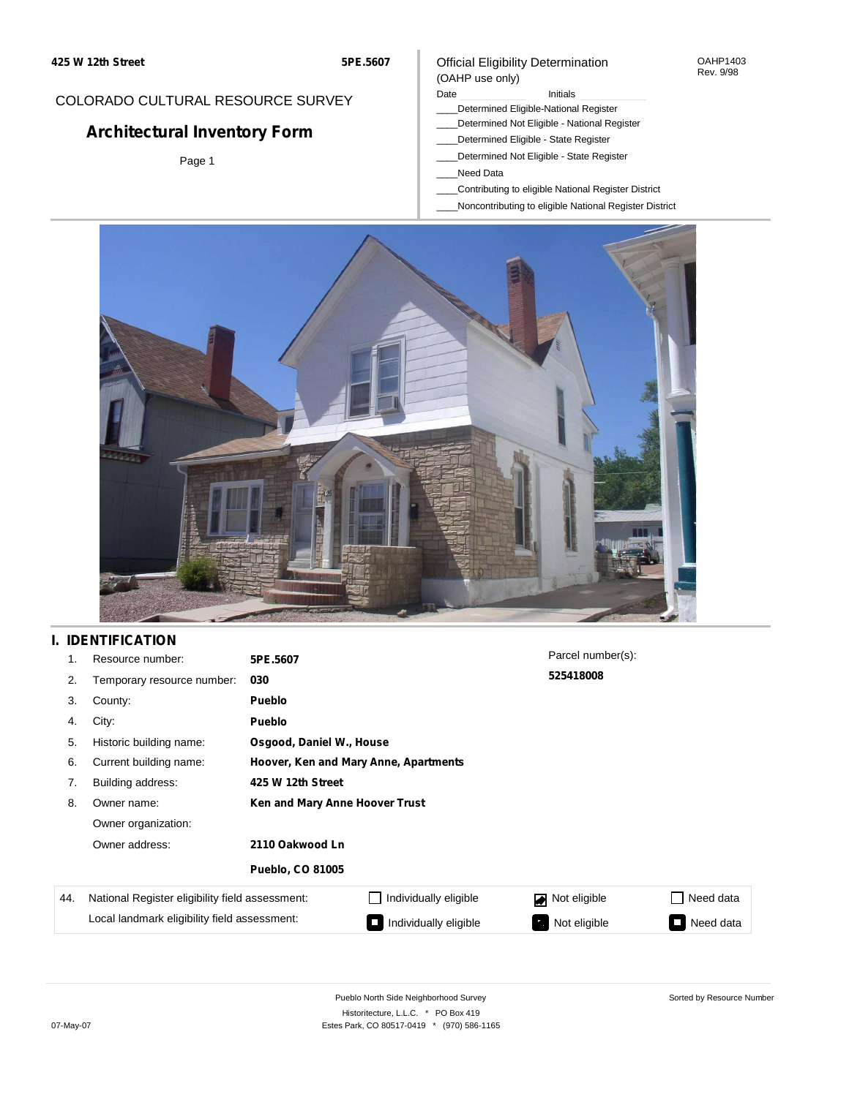## COLORADO CULTURAL RESOURCE SURVEY

# **Architectural Inventory Form**

Page 1

### Official Eligibility Determination (OAHP use only)

### Date **Initials** Initials

- \_\_\_\_Determined Eligible-National Register
- \_\_\_\_Determined Not Eligible National Register
- \_\_\_\_Determined Eligible State Register
- \_\_\_\_Determined Not Eligible State Register
- \_\_\_\_Need Data
- \_\_\_\_Contributing to eligible National Register District
- \_\_\_\_Noncontributing to eligible National Register District



## **I. IDENTIFICATION**

| 1.  | Resource number:                                | 5PE.5607                              |                       | Parcel number(s): |                                       |  |  |  |
|-----|-------------------------------------------------|---------------------------------------|-----------------------|-------------------|---------------------------------------|--|--|--|
| 2.  | Temporary resource number:                      | 030                                   |                       | 525418008         |                                       |  |  |  |
| 3.  | County:                                         | <b>Pueblo</b>                         |                       |                   |                                       |  |  |  |
| 4.  | City:                                           | <b>Pueblo</b>                         |                       |                   |                                       |  |  |  |
| 5.  | Historic building name:                         | Osgood, Daniel W., House              |                       |                   |                                       |  |  |  |
| 6.  | Current building name:                          | Hoover, Ken and Mary Anne, Apartments |                       |                   |                                       |  |  |  |
| 7.  | Building address:                               | 425 W 12th Street                     |                       |                   |                                       |  |  |  |
| 8.  | Owner name:                                     | Ken and Mary Anne Hoover Trust        |                       |                   |                                       |  |  |  |
|     | Owner organization:                             |                                       |                       |                   |                                       |  |  |  |
|     | Owner address:                                  | 2110 Oakwood Ln                       |                       |                   |                                       |  |  |  |
|     |                                                 | <b>Pueblo, CO 81005</b>               |                       |                   |                                       |  |  |  |
| 44. | National Register eligibility field assessment: |                                       | Individually eligible | Not eligible      | Need data                             |  |  |  |
|     | Local landmark eligibility field assessment:    |                                       | Individually eligible | Not eligible      | Need data<br>$\overline{\phantom{a}}$ |  |  |  |

Sorted by Resource Number

OAHP1403 Rev. 9/98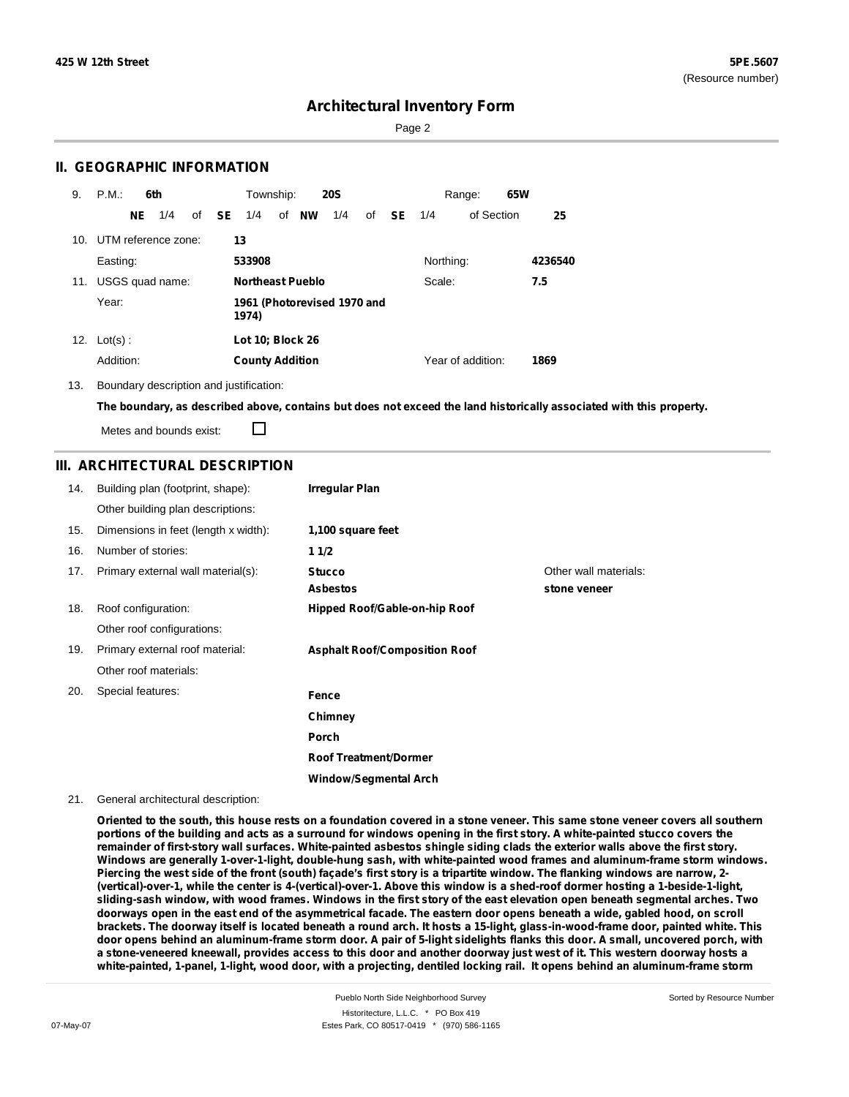Sorted by Resource Number

## **Architectural Inventory Form**

Page 2

### **II. GEOGRAPHIC INFORMATION**

| 9.  | P.M.                    | 6th |     |              | Township:                            |  |                         | <b>20S</b> |    |               |           | Range:            | 65W |         |
|-----|-------------------------|-----|-----|--------------|--------------------------------------|--|-------------------------|------------|----|---------------|-----------|-------------------|-----|---------|
|     |                         | NE. | 1/4 | of <b>SE</b> | 1/4                                  |  | of NW                   | 1/4        | of | <b>SE</b> 1/4 |           | of Section        |     | 25      |
|     | 10. UTM reference zone: |     |     |              | 13                                   |  |                         |            |    |               |           |                   |     |         |
|     | Easting:                |     |     |              | 533908                               |  |                         |            |    |               | Northing: |                   |     | 4236540 |
| 11. | USGS quad name:         |     |     |              |                                      |  | <b>Northeast Pueblo</b> |            |    |               | Scale:    |                   |     | 7.5     |
|     | Year:                   |     |     |              | 1961 (Photorevised 1970 and<br>1974) |  |                         |            |    |               |           |                   |     |         |
| 12. | $Lot(s)$ :              |     |     |              | Lot 10; Block 26                     |  |                         |            |    |               |           |                   |     |         |
|     | Addition:               |     |     |              | <b>County Addition</b>               |  |                         |            |    |               |           | Year of addition: |     | 1869    |

13. Boundary description and justification:

The boundary, as described above, contains but does not exceed the land historically associated with this property.

Metes and bounds exist:

П

### **III. ARCHITECTURAL DESCRIPTION**

| 14. | Building plan (footprint, shape):    | <b>Irregular Plan</b>                |                                       |
|-----|--------------------------------------|--------------------------------------|---------------------------------------|
|     | Other building plan descriptions:    |                                      |                                       |
| 15. | Dimensions in feet (length x width): | 1,100 square feet                    |                                       |
| 16. | Number of stories:                   | 11/2                                 |                                       |
| 17. | Primary external wall material(s):   | <b>Stucco</b><br><b>Asbestos</b>     | Other wall materials:<br>stone veneer |
| 18. | Roof configuration:                  | Hipped Roof/Gable-on-hip Roof        |                                       |
|     | Other roof configurations:           |                                      |                                       |
| 19. | Primary external roof material:      | <b>Asphalt Roof/Composition Roof</b> |                                       |
|     | Other roof materials:                |                                      |                                       |
| 20. | Special features:                    | Fence                                |                                       |
|     |                                      | Chimney                              |                                       |
|     |                                      | <b>Porch</b>                         |                                       |
|     |                                      | <b>Roof Treatment/Dormer</b>         |                                       |
|     |                                      | Window/Segmental Arch                |                                       |

#### 21. General architectural description:

Oriented to the south, this house rests on a foundation covered in a stone veneer. This same stone veneer covers all southern portions of the building and acts as a surround for windows opening in the first story. A white-painted stucco covers the remainder of first-story wall surfaces. White-painted asbestos shingle siding clads the exterior walls above the first story. **Windows are generally 1-over-1-light, double-hung sash, with white-painted wood frames and aluminum-frame storm windows.** Piercing the west side of the front (south) façade's first story is a tripartite window. The flanking windows are narrow, 2-(vertical)-over-1, while the center is 4-(vertical)-over-1. Above this window is a shed-roof dormer hosting a 1-beside-1-light, sliding-sash window, with wood frames. Windows in the first story of the east elevation open beneath segmental arches. Two doorways open in the east end of the asymmetrical facade. The eastern door opens beneath a wide, gabled hood, on scroll brackets. The doorway itself is located beneath a round arch. It hosts a 15-light, glass-in-wood-frame door, painted white. This door opens behind an aluminum-frame storm door. A pair of 5-light sidelights flanks this door. A small, uncovered porch, with a stone-veneered kneewall, provides access to this door and another doorway just west of it. This western doorway hosts a white-painted, 1-panel, 1-light, wood door, with a projecting, dentiled locking rail. It opens behind an aluminum-frame storm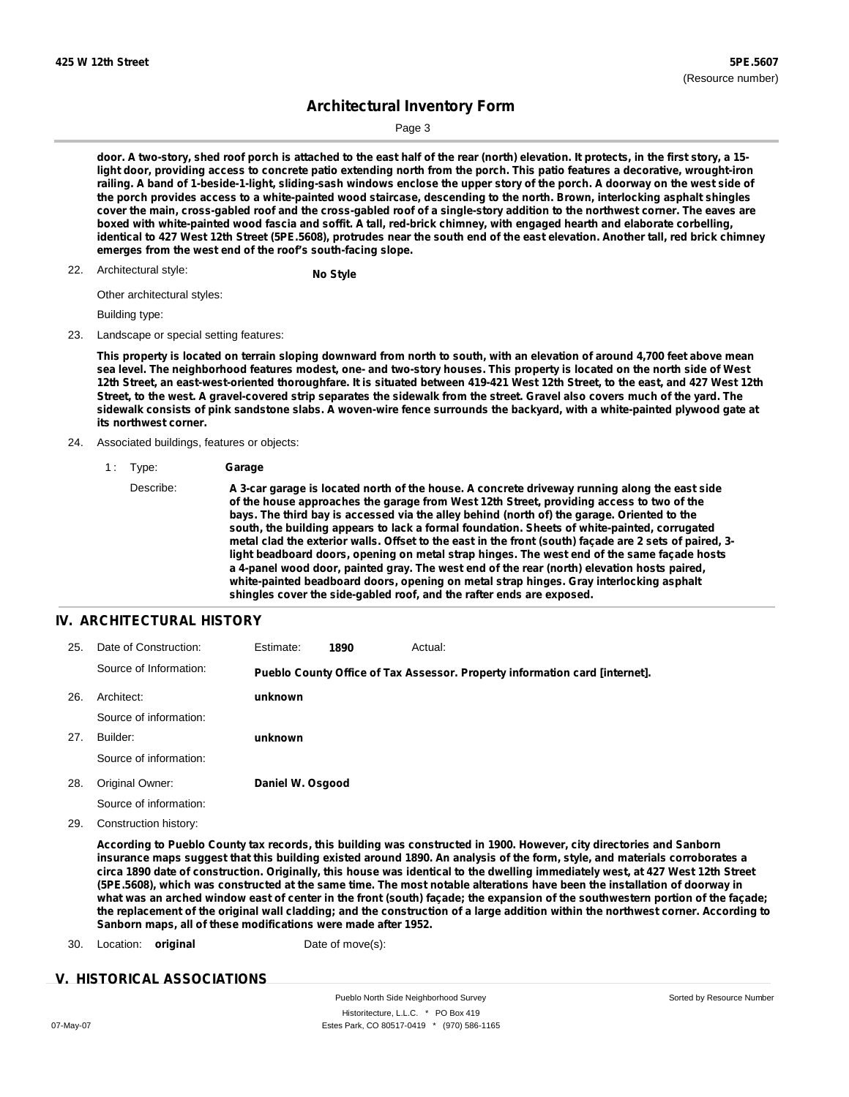Sorted by Resource Number

## **Architectural Inventory Form**

Page 3

door. A two-story, shed roof porch is attached to the east half of the rear (north) elevation. It protects, in the first story, a 15light door, providing access to concrete patio extending north from the porch. This patio features a decorative, wrought-iron railing. A band of 1-beside-1-light, sliding-sash windows enclose the upper story of the porch. A doorway on the west side of the porch provides access to a white-painted wood staircase, descending to the north. Brown, interlocking asphalt shingles cover the main, cross-gabled roof and the cross-gabled roof of a single-story addition to the northwest corner. The eaves are boxed with white-painted wood fascia and soffit. A tall, red-brick chimney, with engaged hearth and elaborate corbelling, identical to 427 West 12th Street (5PE.5608), protrudes near the south end of the east elevation. Another tall, red brick chimney **emerges from the west end of the roof's south-facing slope.**

## Architectural style: 22. **No Style**

Other architectural styles:

Building type:

#### 23. Landscape or special setting features:

This property is located on terrain sloping downward from north to south, with an elevation of around 4,700 feet above mean sea level. The neighborhood features modest, one- and two-story houses. This property is located on the north side of West 12th Street, an east-west-oriented thoroughfare. It is situated between 419-421 West 12th Street, to the east, and 427 West 12th Street, to the west. A gravel-covered strip separates the sidewalk from the street. Gravel also covers much of the yard. The sidewalk consists of pink sandstone slabs. A woven-wire fence surrounds the backyard, with a white-painted plywood gate at **its northwest corner.**

#### 24. Associated buildings, features or objects:

1 : Type: **Garage**

Describe: **A 3-car garage is located north of the house. A concrete driveway running along the east side of the house approaches the garage from West 12th Street, providing access to two of the bays. The third bay is accessed via the alley behind (north of) the garage. Oriented to the south, the building appears to lack a formal foundation. Sheets of white-painted, corrugated** metal clad the exterior walls. Offset to the east in the front (south) façade are 2 sets of paired, 3**light beadboard doors, opening on metal strap hinges. The west end of the same façade hosts a 4-panel wood door, painted gray. The west end of the rear (north) elevation hosts paired, white-painted beadboard doors, opening on metal strap hinges. Gray interlocking asphalt shingles cover the side-gabled roof, and the rafter ends are exposed.**

### **IV. ARCHITECTURAL HISTORY**

| 25. | Date of Construction:  | Estimate:        | 1890 | Actual:                                                                     |
|-----|------------------------|------------------|------|-----------------------------------------------------------------------------|
|     | Source of Information: |                  |      | Pueblo County Office of Tax Assessor. Property information card [internet]. |
| 26. | Architect:             | unknown          |      |                                                                             |
|     | Source of information: |                  |      |                                                                             |
| 27. | Builder:               | unknown          |      |                                                                             |
|     | Source of information: |                  |      |                                                                             |
| 28. | Original Owner:        | Daniel W. Osgood |      |                                                                             |
|     | Source of information: |                  |      |                                                                             |
|     |                        |                  |      |                                                                             |

29. Construction history:

According to Pueblo County tax records, this building was constructed in 1900. However, city directories and Sanborn insurance maps suggest that this building existed around 1890. An analysis of the form, style, and materials corroborates a circa 1890 date of construction. Originally, this house was identical to the dwelling immediately west, at 427 West 12th Street (5PE.5608), which was constructed at the same time. The most notable alterations have been the installation of doorway in what was an arched window east of center in the front (south) façade; the expansion of the southwestern portion of the façade; the replacement of the original wall cladding; and the construction of a large addition within the northwest corner. According to **Sanborn maps, all of these modifications were made after 1952.**

30. Location: **original** Date of move(s):

#### **V. HISTORICAL ASSOCIATIONS**

Pueblo North Side Neighborhood Survey Historitecture, L.L.C. \* PO Box 419 07-May-07 Estes Park, CO 80517-0419 \* (970) 586-1165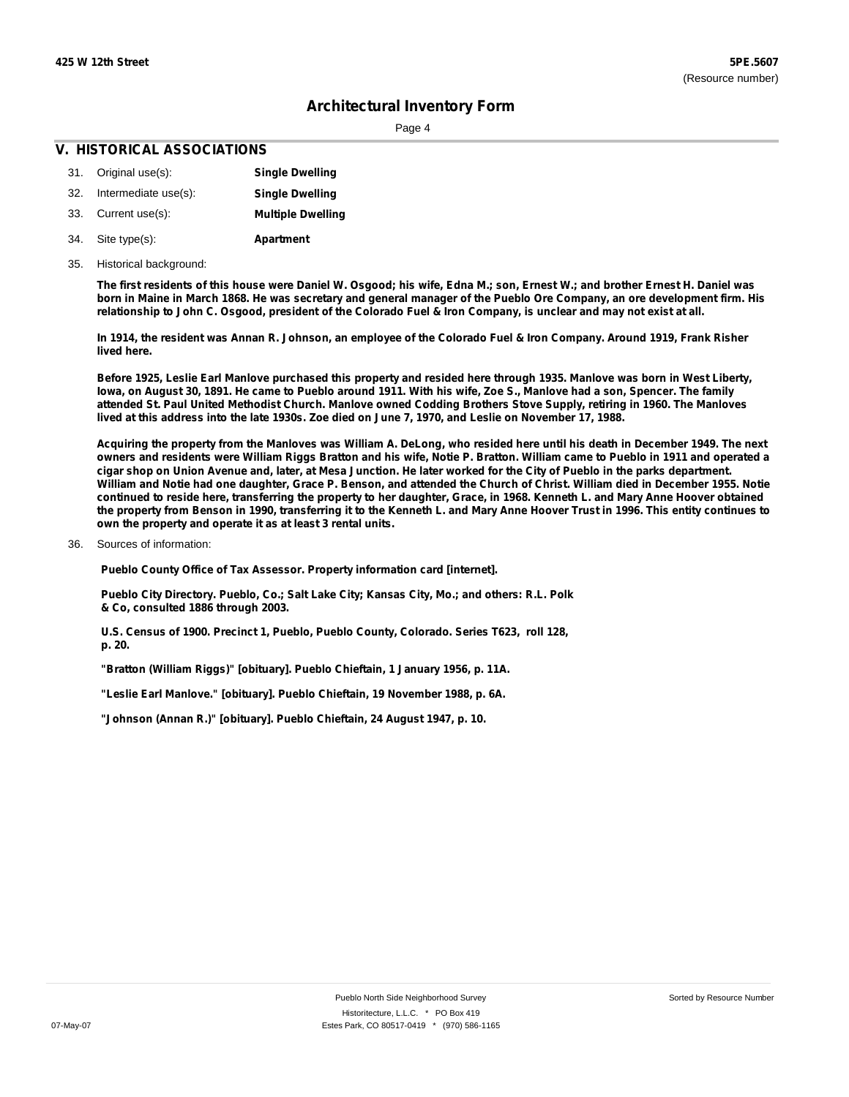Page 4

### **V. HISTORICAL ASSOCIATIONS**

- 31. Original use(s): 32. Intermediate use(s): **Single Dwelling Single Dwelling**
- 33. Current use(s): **Multiple Dwelling**
- **Apartment** Site type(s): 34.
- 35. Historical background:

The first residents of this house were Daniel W. Osgood; his wife, Edna M.; son, Ernest W.; and brother Ernest H. Daniel was born in Maine in March 1868. He was secretary and general manager of the Pueblo Ore Company, an ore development firm. His relationship to John C. Osgood, president of the Colorado Fuel & Iron Company, is unclear and may not exist at all.

In 1914, the resident was Annan R. Johnson, an employee of the Colorado Fuel & Iron Company. Around 1919, Frank Risher **lived here.**

Before 1925, Leslie Earl Manlove purchased this property and resided here through 1935. Manlove was born in West Liberty, lowa, on August 30, 1891. He came to Pueblo around 1911. With his wife, Zoe S., Manlove had a son, Spencer. The family attended St. Paul United Methodist Church. Manlove owned Codding Brothers Stove Supply, retiring in 1960. The Manloves lived at this address into the late 1930s. Zoe died on June 7, 1970, and Leslie on November 17, 1988.

Acquiring the property from the Manloves was William A. DeLong, who resided here until his death in December 1949. The next owners and residents were William Riggs Bratton and his wife, Notie P. Bratton. William came to Pueblo in 1911 and operated a cigar shop on Union Avenue and, later, at Mesa Junction. He later worked for the City of Pueblo in the parks department. William and Notie had one daughter, Grace P. Benson, and attended the Church of Christ. William died in December 1955. Notie continued to reside here, transferring the property to her daughter, Grace, in 1968. Kenneth L. and Mary Anne Hoover obtained the property from Benson in 1990, transferring it to the Kenneth L. and Mary Anne Hoover Trust in 1996. This entity continues to **own the property and operate it as at least 3 rental units.**

Sources of information: 36.

**Pueblo County Office of Tax Assessor. Property information card [internet].**

**Pueblo City Directory. Pueblo, Co.; Salt Lake City; Kansas City, Mo.; and others: R.L. Polk & Co, consulted 1886 through 2003.**

**U.S. Census of 1900. Precinct 1, Pueblo, Pueblo County, Colorado. Series T623, roll 128, p. 20.**

**"Bratton (William Riggs)" [obituary]. Pueblo Chieftain, 1 January 1956, p. 11A.**

**"Leslie Earl Manlove." [obituary]. Pueblo Chieftain, 19 November 1988, p. 6A.**

**"Johnson (Annan R.)" [obituary]. Pueblo Chieftain, 24 August 1947, p. 10.**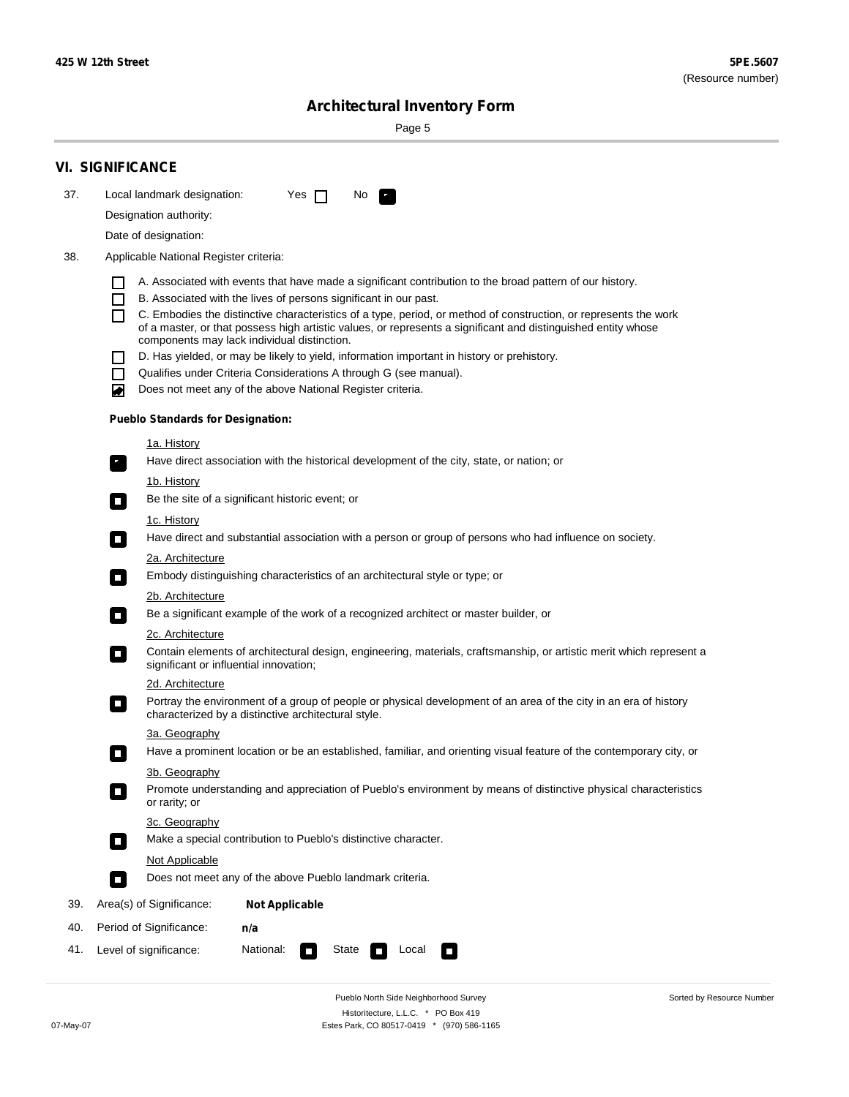$\sim$ 

Sorted by Resource Number

# **Architectural Inventory Form**

Page 5

|     | <b>VI. SIGNIFICANCE</b>                  |                                                                                                                                                                              |  |  |  |  |  |  |
|-----|------------------------------------------|------------------------------------------------------------------------------------------------------------------------------------------------------------------------------|--|--|--|--|--|--|
| 37. | Local landmark designation:              | Yes $\Box$<br>No.<br>$\mathbf{r}_1$                                                                                                                                          |  |  |  |  |  |  |
|     | Designation authority:                   |                                                                                                                                                                              |  |  |  |  |  |  |
|     | Date of designation:                     |                                                                                                                                                                              |  |  |  |  |  |  |
| 38. | Applicable National Register criteria:   |                                                                                                                                                                              |  |  |  |  |  |  |
|     |                                          |                                                                                                                                                                              |  |  |  |  |  |  |
|     | H<br>$\Box$                              | A. Associated with events that have made a significant contribution to the broad pattern of our history.<br>B. Associated with the lives of persons significant in our past. |  |  |  |  |  |  |
|     | П                                        | C. Embodies the distinctive characteristics of a type, period, or method of construction, or represents the work                                                             |  |  |  |  |  |  |
|     |                                          | of a master, or that possess high artistic values, or represents a significant and distinguished entity whose<br>components may lack individual distinction.                 |  |  |  |  |  |  |
|     |                                          | D. Has yielded, or may be likely to yield, information important in history or prehistory.                                                                                   |  |  |  |  |  |  |
|     | $\blacksquare$                           | Qualifies under Criteria Considerations A through G (see manual).                                                                                                            |  |  |  |  |  |  |
|     | O                                        | Does not meet any of the above National Register criteria.                                                                                                                   |  |  |  |  |  |  |
|     | <b>Pueblo Standards for Designation:</b> |                                                                                                                                                                              |  |  |  |  |  |  |
|     | 1a. History                              |                                                                                                                                                                              |  |  |  |  |  |  |
|     | $\overline{\phantom{a}}$ .               | Have direct association with the historical development of the city, state, or nation; or                                                                                    |  |  |  |  |  |  |
|     | <u>1b. History</u>                       |                                                                                                                                                                              |  |  |  |  |  |  |
|     | $\Box$                                   | Be the site of a significant historic event; or                                                                                                                              |  |  |  |  |  |  |
|     | 1c. History                              |                                                                                                                                                                              |  |  |  |  |  |  |
|     | $\Box$                                   | Have direct and substantial association with a person or group of persons who had influence on society.                                                                      |  |  |  |  |  |  |
|     | 2a. Architecture                         | Embody distinguishing characteristics of an architectural style or type; or                                                                                                  |  |  |  |  |  |  |
|     | $\Box$<br>2b. Architecture               |                                                                                                                                                                              |  |  |  |  |  |  |
|     | $\overline{\phantom{a}}$                 | Be a significant example of the work of a recognized architect or master builder, or                                                                                         |  |  |  |  |  |  |
|     | 2c. Architecture                         |                                                                                                                                                                              |  |  |  |  |  |  |
|     | $\Box$                                   | Contain elements of architectural design, engineering, materials, craftsmanship, or artistic merit which represent a<br>significant or influential innovation;               |  |  |  |  |  |  |
|     | 2d. Architecture                         |                                                                                                                                                                              |  |  |  |  |  |  |
|     | $\blacksquare$                           | Portray the environment of a group of people or physical development of an area of the city in an era of history<br>characterized by a distinctive architectural style.      |  |  |  |  |  |  |
|     | 3a. Geography                            |                                                                                                                                                                              |  |  |  |  |  |  |
|     |                                          | Have a prominent location or be an established, familiar, and orienting visual feature of the contemporary city, or                                                          |  |  |  |  |  |  |
|     | 3b. Geography                            |                                                                                                                                                                              |  |  |  |  |  |  |
|     | or rarity; or                            | Promote understanding and appreciation of Pueblo's environment by means of distinctive physical characteristics                                                              |  |  |  |  |  |  |
|     | 3c. Geography                            |                                                                                                                                                                              |  |  |  |  |  |  |
|     | $\Box$                                   | Make a special contribution to Pueblo's distinctive character.                                                                                                               |  |  |  |  |  |  |
|     | Not Applicable<br>$\Box$                 | Does not meet any of the above Pueblo landmark criteria.                                                                                                                     |  |  |  |  |  |  |
| 39. | Area(s) of Significance:                 | <b>Not Applicable</b>                                                                                                                                                        |  |  |  |  |  |  |
| 40. | Period of Significance:                  | n/a                                                                                                                                                                          |  |  |  |  |  |  |
| 41. | Level of significance:                   | National:<br>State<br>Local<br>$\overline{\phantom{a}}$<br>O                                                                                                                 |  |  |  |  |  |  |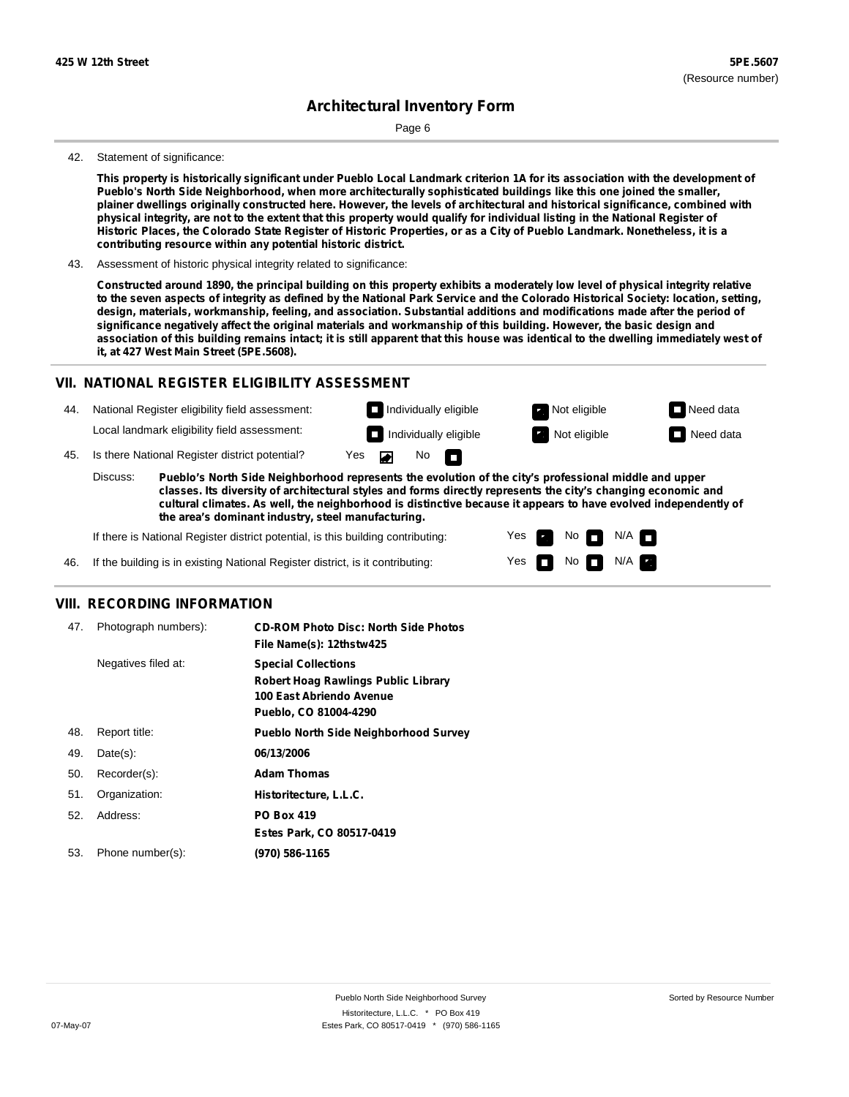Page 6

#### 42. Statement of significance:

This property is historically significant under Pueblo Local Landmark criterion 1A for its association with the development of **Pueblo's North Side Neighborhood, when more architecturally sophisticated buildings like this one joined the smaller,** plainer dwellings originally constructed here. However, the levels of architectural and historical significance, combined with physical integrity, are not to the extent that this property would qualify for individual listing in the National Register of Historic Places, the Colorado State Register of Historic Properties, or as a City of Pueblo Landmark. Nonetheless, it is a **contributing resource within any potential historic district.**

43. Assessment of historic physical integrity related to significance:

Constructed around 1890, the principal building on this property exhibits a moderately low level of physical integrity relative to the seven aspects of integrity as defined by the National Park Service and the Colorado Historical Society: location, setting, design, materials, workmanship, feeling, and association. Substantial additions and modifications made after the period of significance negatively affect the original materials and workmanship of this building. However, the basic design and association of this building remains intact; it is still apparent that this house was identical to the dwelling immediately west of **it, at 427 West Main Street (5PE.5608).**

### **VII. NATIONAL REGISTER ELIGIBILITY ASSESSMENT**

National Register eligibility field assessment: 44. Local landmark eligibility field assessment:

**Individually eligible Not eligible** Not eligible **Need data Individually eligible Not eligible** Not eligible **Need data** 

No<sub>D</sub>

N/A

45. Is there National Register district potential? Yes

**Pueblo's North Side Neighborhood represents the evolution of the city's professional middle and upper classes. Its diversity of architectural styles and forms directly represents the city's changing economic and cultural climates. As well, the neighborhood is distinctive because it appears to have evolved independently of the area's dominant industry, steel manufacturing.** Discuss:

 $\blacksquare$ 

Yes Yes No

 $No$   $N/A$ 

If there is National Register district potential, is this building contributing:



### **VIII. RECORDING INFORMATION**

| 47. | Photograph numbers): | <b>CD-ROM Photo Disc: North Side Photos</b><br>File Name(s): 12thstw425                                                       |
|-----|----------------------|-------------------------------------------------------------------------------------------------------------------------------|
|     | Negatives filed at:  | <b>Special Collections</b><br><b>Robert Hoag Rawlings Public Library</b><br>100 East Abriendo Avenue<br>Pueblo, CO 81004-4290 |
| 48. | Report title:        | <b>Pueblo North Side Neighborhood Survey</b>                                                                                  |
| 49. | $Date(s)$ :          | 06/13/2006                                                                                                                    |
| 50. | Recorder(s):         | <b>Adam Thomas</b>                                                                                                            |
| 51. | Organization:        | Historitecture, L.L.C.                                                                                                        |
| 52. | Address:             | <b>PO Box 419</b>                                                                                                             |
|     |                      | Estes Park, CO 80517-0419                                                                                                     |
| 53. | Phone number(s):     | (970) 586-1165                                                                                                                |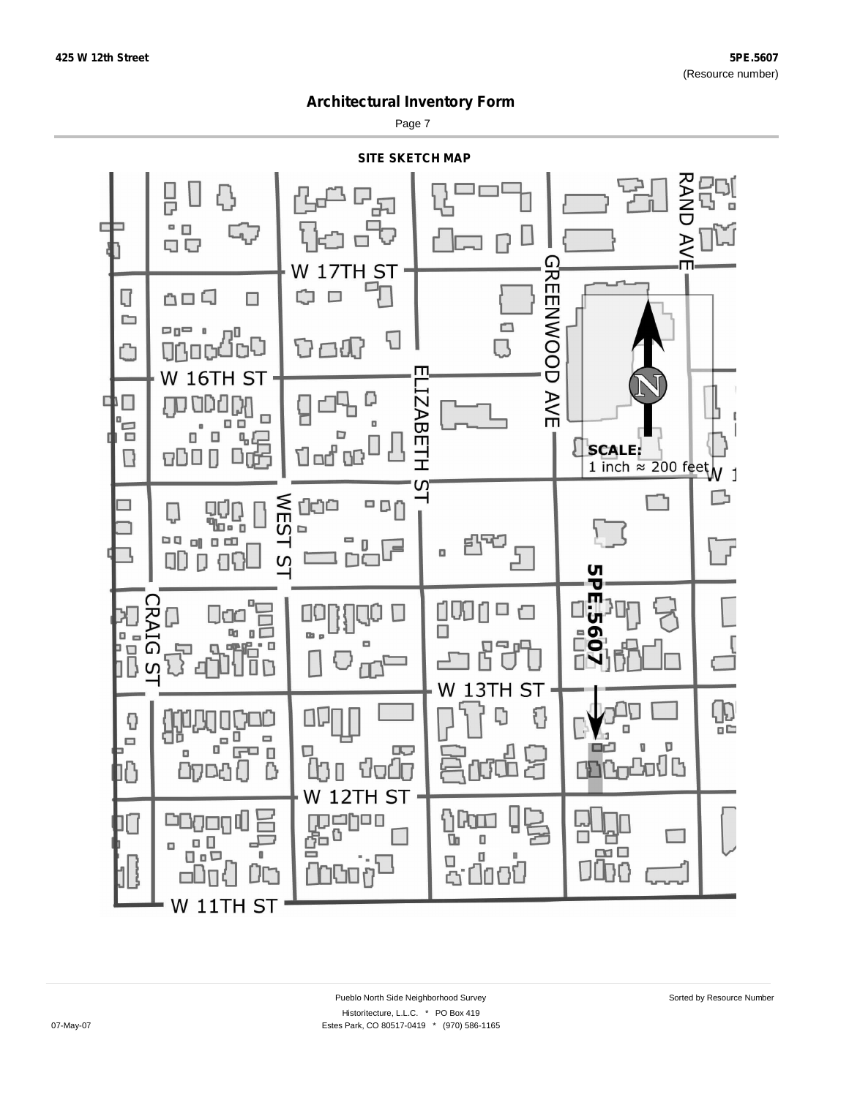Page 7